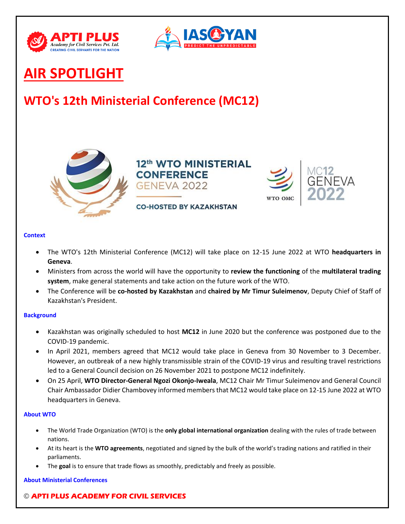



# **AIR SPOTLIGHT**

# **WTO's 12th Ministerial Conference (MC12)**





**CO-HOSTED BY KAZAKHSTAN** 

WTO OMC

### **Context**

- The WTO's 12th Ministerial Conference (MC12) will take place on 12-15 June 2022 at WTO **headquarters in Geneva**.
- Ministers from across the world will have the opportunity to **review the functioning** of the **multilateral trading system**, make general statements and take action on the future work of the WTO.
- The Conference will be **co-hosted by Kazakhstan** and **chaired by Mr Timur Suleimenov**, Deputy Chief of Staff of Kazakhstan's President.

### **Background**

- Kazakhstan was originally scheduled to host **MC12** in June 2020 but the conference was postponed due to the COVID-19 pandemic.
- In April 2021, members agreed that MC12 would take place in Geneva from 30 November to 3 December. However, an outbreak of a new highly transmissible strain of the COVID-19 virus and resulting travel restrictions led to a General Council decision on 26 November 2021 to postpone MC12 indefinitely.
- On 25 April, **WTO Director-General Ngozi Okonjo-Iweala**, MC12 Chair Mr Timur Suleimenov and General Council Chair Ambassador Didier Chambovey informed members that MC12 would take place on 12-15 June 2022 at WTO headquarters in Geneva.

### **About WTO**

- The World Trade Organization (WTO) is the **only global international organization** dealing with the rules of trade between nations.
- At its heart is the **WTO agreements**, negotiated and signed by the bulk of the world's trading nations and ratified in their parliaments.
- The **goal** is to ensure that trade flows as smoothly, predictably and freely as possible.

### **About Ministerial Conferences**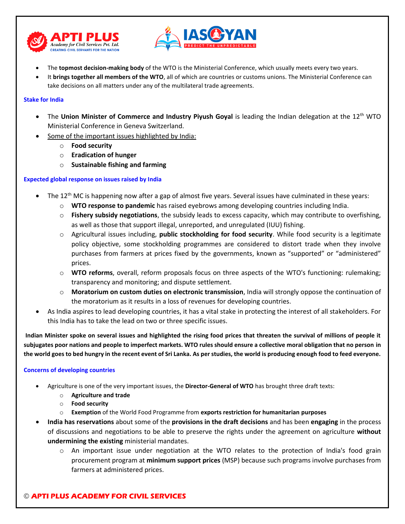



- The **topmost decision-making body** of the WTO is the Ministerial Conference, which usually meets every two years.
- It **brings together all members of the WTO**, all of which are countries or customs unions. The Ministerial Conference can take decisions on all matters under any of the multilateral trade agreements.

#### **Stake for India**

- The **Union Minister of Commerce and Industry Piyush Goyal** is leading the Indian delegation at the 12th WTO Ministerial Conference in Geneva Switzerland.
- Some of the important issues highlighted by India:
	- o **Food security**
	- o **Eradication of hunger**
	- o **Sustainable fishing and farming**

### **Expected global response on issues raised by India**

- The 12<sup>th</sup> MC is happening now after a gap of almost five years. Several issues have culminated in these years:
	- o **WTO response to pandemic** has raised eyebrows among developing countries including India.
	- o **Fishery subsidy negotiations**, the subsidy leads to excess capacity, which may contribute to overfishing, as well as those that support illegal, unreported, and unregulated (IUU) fishing.
	- o Agricultural issues including, **public stockholding for food security**. While food security is a legitimate policy objective, some stockholding programmes are considered to distort trade when they involve purchases from farmers at prices fixed by the governments, known as "supported" or "administered" prices.
	- o **WTO reforms**, overall, reform proposals focus on three aspects of the WTO's functioning: rulemaking; transparency and monitoring; and dispute settlement.
	- o **Moratorium on custom duties on electronic transmission**, India will strongly oppose the continuation of the moratorium as it results in a loss of revenues for developing countries.
- As India aspires to lead developing countries, it has a vital stake in protecting the interest of all stakeholders. For this India has to take the lead on two or three specific issues.

**Indian Minister spoke on several issues and highlighted the rising food prices that threaten the survival of millions of people it subjugates poor nations and people to imperfect markets. WTO rules should ensure a collective moral obligation that no person in the world goes to bed hungry in the recent event of Sri Lanka. As per studies, the world is producing enough food to feed everyone.** 

### **Concerns of developing countries**

- Agriculture is one of the very important issues, the **Director-General of WTO** has brought three draft texts:
	- o **Agriculture and trade**
	- o **Food security**
	- o **Exemption** of the World Food Programme from **exports restriction for humanitarian purposes**
- **India has reservations** about some of the **provisions in the draft decisions** and has been **engaging** in the process of discussions and negotiations to be able to preserve the rights under the agreement on agriculture **without undermining the existing** ministerial mandates.
	- o An important issue under negotiation at the WTO relates to the protection of India's food grain procurement program at **minimum support prices** (MSP) because such programs involve purchases from farmers at administered prices.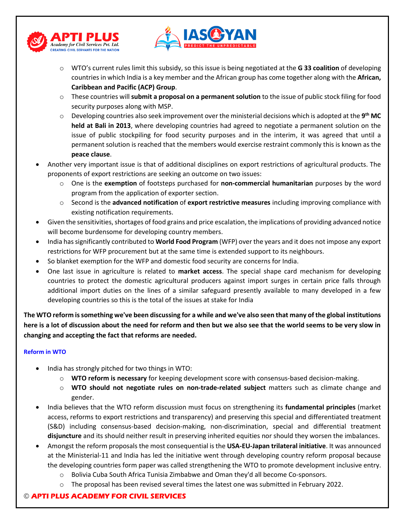



- o WTO's current rules limit this subsidy, so this issue is being negotiated at the **G 33 coalition** of developing countries in which India is a key member and the African group has come together along with the **African, Caribbean and Pacific (ACP) Group**.
- o These countries will **submit a proposal on a permanent solution** to the issue of public stock filing for food security purposes along with MSP.
- o Developing countries also seek improvement over the ministerial decisions which is adopted at the **9 th MC held at Bali in 2013**, where developing countries had agreed to negotiate a permanent solution on the issue of public stockpiling for food security purposes and in the interim, it was agreed that until a permanent solution is reached that the members would exercise restraint commonly this is known as the **peace clause**.
- Another very important issue is that of additional disciplines on export restrictions of agricultural products. The proponents of export restrictions are seeking an outcome on two issues:
	- o One is the **exemption** of footsteps purchased for **non-commercial humanitarian** purposes by the word program from the application of exporter section.
	- o Second is the **advanced notification** of **export restrictive measures** including improving compliance with existing notification requirements.
- Given the sensitivities, shortages of food grains and price escalation, the implications of providing advanced notice will become burdensome for developing country members.
- India hassignificantly contributed to **World Food Program** (WFP) over the years and it does not impose any export restrictions for WFP procurement but at the same time is extended support to its neighbours.
- So blanket exemption for the WFP and domestic food security are concerns for India.
- One last issue in agriculture is related to **market access**. The special shape card mechanism for developing countries to protect the domestic agricultural producers against import surges in certain price falls through additional import duties on the lines of a similar safeguard presently available to many developed in a few developing countries so this is the total of the issues at stake for India

**The WTO reform is something we've been discussing for a while and we've also seen that many of the global institutions here is a lot of discussion about the need for reform and then but we also see that the world seems to be very slow in changing and accepting the fact that reforms are needed.**

### **Reform in WTO**

- India has strongly pitched for two things in WTO:
	- o **WTO reform is necessary** for keeping development score with consensus-based decision-making.
	- o **WTO should not negotiate rules on non-trade-related subject** matters such as climate change and gender.
- India believes that the WTO reform discussion must focus on strengthening its **fundamental principles** (market access, reforms to export restrictions and transparency) and preserving this special and differentiated treatment (S&D) including consensus-based decision-making, non-discrimination, special and differential treatment **disjuncture** and its should neither result in preserving inherited equities nor should they worsen the imbalances.
- Amongst the reform proposals the most consequential is the **USA-EU-Japan trilateral initiative**. It was announced at the Ministerial-11 and India has led the initiative went through developing country reform proposal because the developing countries form paper was called strengthening the WTO to promote development inclusive entry.
	- o Bolivia Cuba South Africa Tunisia Zimbabwe and Oman they'd all become Co-sponsors.
	- o The proposal has been revised several times the latest one was submitted in February 2022.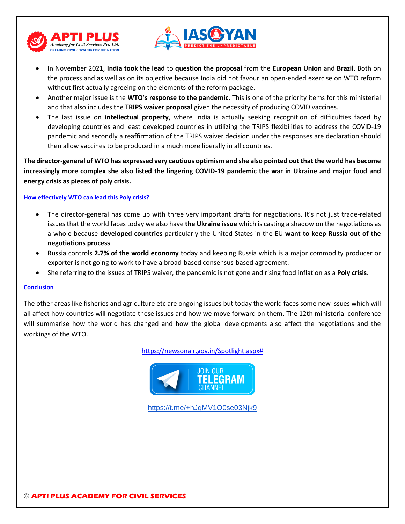



- In November 2021, **India took the lead** to **question the proposal** from the **European Union** and **Brazil**. Both on the process and as well as on its objective because India did not favour an open-ended exercise on WTO reform without first actually agreeing on the elements of the reform package.
- Another major issue is the **WTO's response to the pandemic**. This is one of the priority items for this ministerial and that also includes the **TRIPS waiver proposal** given the necessity of producing COVID vaccines.
- The last issue on **intellectual property**, where India is actually seeking recognition of difficulties faced by developing countries and least developed countries in utilizing the TRIPS flexibilities to address the COVID-19 pandemic and secondly a reaffirmation of the TRIPS waiver decision under the responses are declaration should then allow vaccines to be produced in a much more liberally in all countries.

**The director-general of WTO has expressed very cautious optimism and she also pointed out that the world has become increasingly more complex she also listed the lingering COVID-19 pandemic the war in Ukraine and major food and energy crisis as pieces of poly crisis.**

### **How effectively WTO can lead this Poly crisis?**

- The director-general has come up with three very important drafts for negotiations. It's not just trade-related issues that the world faces today we also have **the Ukraine issue** which is casting a shadow on the negotiations as a whole because **developed countries** particularly the United States in the EU **want to keep Russia out of the negotiations process**.
- Russia controls **2.7% of the world economy** today and keeping Russia which is a major commodity producer or exporter is not going to work to have a broad-based consensus-based agreement.
- She referring to the issues of TRIPS waiver, the pandemic is not gone and rising food inflation as a **Poly crisis**.

### **Conclusion**

The other areas like fisheries and agriculture etc are ongoing issues but today the world faces some new issues which will all affect how countries will negotiate these issues and how we move forward on them. The 12th ministerial conference will summarise how the world has changed and how the global developments also affect the negotiations and the workings of the WTO.

[https://newsonair.gov.in/Spotlight.aspx#](https://newsonair.gov.in/Spotlight.aspx)



<https://t.me/+hJqMV1O0se03Njk9>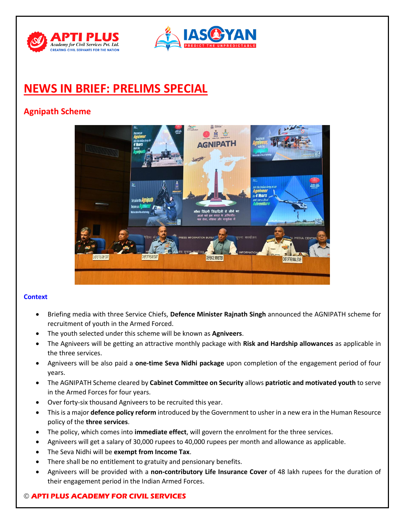



# **NEWS IN BRIEF: PRELIMS SPECIAL**

# **Agnipath Scheme**



## **Context**

- Briefing media with three Service Chiefs, **Defence Minister Rajnath Singh** announced the AGNIPATH scheme for recruitment of youth in the Armed Forced.
- The youth selected under this scheme will be known as **Agniveers**.
- The Agniveers will be getting an attractive monthly package with **Risk and Hardship allowances** as applicable in the three services.
- Agniveers will be also paid a **one-time Seva Nidhi package** upon completion of the engagement period of four years.
- The AGNIPATH Scheme cleared by **Cabinet Committee on Security** allows **patriotic and motivated youth** to serve in the Armed Forces for four years.
- Over forty-six thousand Agniveers to be recruited this year.
- This is a major **defence policy reform** introduced by the Government to usher in a new era in the Human Resource policy of the **three services**.
- The policy, which comes into **immediate effect**, will govern the enrolment for the three services.
- Agniveers will get a salary of 30,000 rupees to 40,000 rupees per month and allowance as applicable.
- The Seva Nidhi will be **exempt from Income Tax**.
- There shall be no entitlement to gratuity and pensionary benefits.
- Agniveers will be provided with a **non-contributory Life Insurance Cover** of 48 lakh rupees for the duration of their engagement period in the Indian Armed Forces.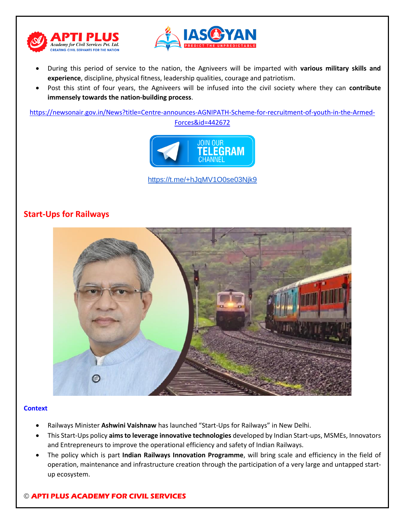



- During this period of service to the nation, the Agniveers will be imparted with **various military skills and experience**, discipline, physical fitness, leadership qualities, courage and patriotism.
- Post this stint of four years, the Agniveers will be infused into the civil society where they can **contribute immensely towards the nation-building process**.

[https://newsonair.gov.in/News?title=Centre-announces-AGNIPATH-Scheme-for-recruitment-of-youth-in-the-Armed-](https://newsonair.gov.in/News?title=Centre-announces-AGNIPATH-Scheme-for-recruitment-of-youth-in-the-Armed-Forces&id=442672)[Forces&id=442672](https://newsonair.gov.in/News?title=Centre-announces-AGNIPATH-Scheme-for-recruitment-of-youth-in-the-Armed-Forces&id=442672)



<https://t.me/+hJqMV1O0se03Njk9>

# **Start-Ups for Railways**



### **Context**

- Railways Minister **Ashwini Vaishnaw** has launched "Start-Ups for Railways" in New Delhi.
- This Start-Ups policy **aims to leverage innovative technologies** developed by Indian Start-ups, MSMEs, Innovators and Entrepreneurs to improve the operational efficiency and safety of Indian Railways.
- The policy which is part **Indian Railways Innovation Programme**, will bring scale and efficiency in the field of operation, maintenance and infrastructure creation through the participation of a very large and untapped startup ecosystem.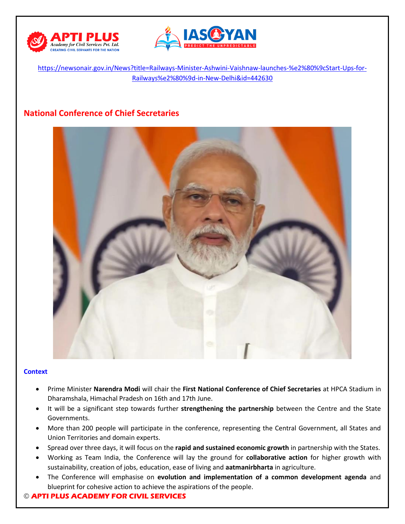



[https://newsonair.gov.in/News?title=Railways-Minister-Ashwini-Vaishnaw-launches-%e2%80%9cStart-Ups-for-](https://newsonair.gov.in/News?title=Railways-Minister-Ashwini-Vaishnaw-launches-%e2%80%9cStart-Ups-for-Railways%e2%80%9d-in-New-Delhi&id=442630)[Railways%e2%80%9d-in-New-Delhi&id=442630](https://newsonair.gov.in/News?title=Railways-Minister-Ashwini-Vaishnaw-launches-%e2%80%9cStart-Ups-for-Railways%e2%80%9d-in-New-Delhi&id=442630)

## **National Conference of Chief Secretaries**



### **Context**

- Prime Minister **Narendra Modi** will chair the **First National Conference of Chief Secretaries** at HPCA Stadium in Dharamshala, Himachal Pradesh on 16th and 17th June.
- It will be a significant step towards further **strengthening the partnership** between the Centre and the State Governments.
- More than 200 people will participate in the conference, representing the Central Government, all States and Union Territories and domain experts.
- Spread over three days, it will focus on the **rapid and sustained economic growth** in partnership with the States.
- Working as Team India, the Conference will lay the ground for **collaborative action** for higher growth with sustainability, creation of jobs, education, ease of living and **aatmanirbharta** in agriculture.
- The Conference will emphasise on **evolution and implementation of a common development agenda** and blueprint for cohesive action to achieve the aspirations of the people.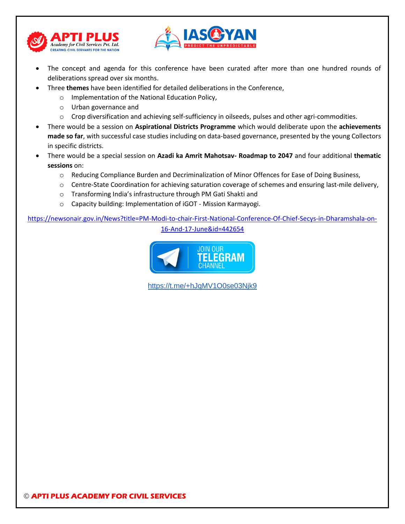



- The concept and agenda for this conference have been curated after more than one hundred rounds of deliberations spread over six months.
- Three **themes** have been identified for detailed deliberations in the Conference,
	- o Implementation of the National Education Policy,
	- o Urban governance and
	- o Crop diversification and achieving self-sufficiency in oilseeds, pulses and other agri-commodities.
- There would be a session on **Aspirational Districts Programme** which would deliberate upon the **achievements made so far**, with successful case studies including on data-based governance, presented by the young Collectors in specific districts.
- There would be a special session on **Azadi ka Amrit Mahotsav- Roadmap to 2047** and four additional **thematic sessions** on:
	- o Reducing Compliance Burden and Decriminalization of Minor Offences for Ease of Doing Business,
	- o Centre-State Coordination for achieving saturation coverage of schemes and ensuring last-mile delivery,
	- o Transforming India's infrastructure through PM Gati Shakti and
	- o Capacity building: Implementation of iGOT Mission Karmayogi.

[https://newsonair.gov.in/News?title=PM-Modi-to-chair-First-National-Conference-Of-Chief-Secys-in-Dharamshala-on-](https://newsonair.gov.in/News?title=PM-Modi-to-chair-First-National-Conference-Of-Chief-Secys-in-Dharamshala-on-16-And-17-June&id=442654)[16-And-17-June&id=442654](https://newsonair.gov.in/News?title=PM-Modi-to-chair-First-National-Conference-Of-Chief-Secys-in-Dharamshala-on-16-And-17-June&id=442654)



<https://t.me/+hJqMV1O0se03Njk9>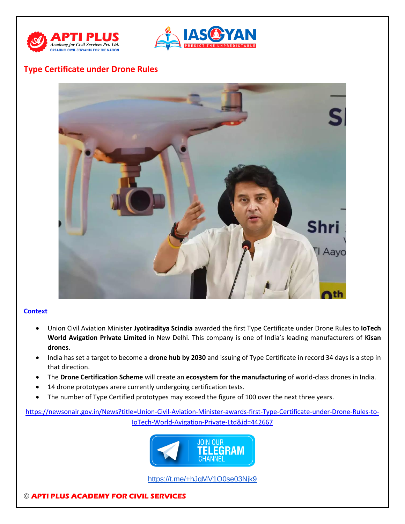



# **Type Certificate under Drone Rules**



### **Context**

- Union Civil Aviation Minister **Jyotiraditya Scindia** awarded the first Type Certificate under Drone Rules to **IoTech World Avigation Private Limited** in New Delhi. This company is one of India's leading manufacturers of **Kisan drones**.
- India has set a target to become a **drone hub by 2030** and issuing of Type Certificate in record 34 days is a step in that direction.
- The **Drone Certification Scheme** will create an **ecosystem for the manufacturing** of world-class drones in India.
- 14 drone prototypes arere currently undergoing certification tests.
- The number of Type Certified prototypes may exceed the figure of 100 over the next three years.

[https://newsonair.gov.in/News?title=Union-Civil-Aviation-Minister-awards-first-Type-Certificate-under-Drone-Rules-to-](https://newsonair.gov.in/News?title=Union-Civil-Aviation-Minister-awards-first-Type-Certificate-under-Drone-Rules-to-IoTech-World-Avigation-Private-Ltd&id=442667)[IoTech-World-Avigation-Private-Ltd&id=442667](https://newsonair.gov.in/News?title=Union-Civil-Aviation-Minister-awards-first-Type-Certificate-under-Drone-Rules-to-IoTech-World-Avigation-Private-Ltd&id=442667)



<https://t.me/+hJqMV1O0se03Njk9>